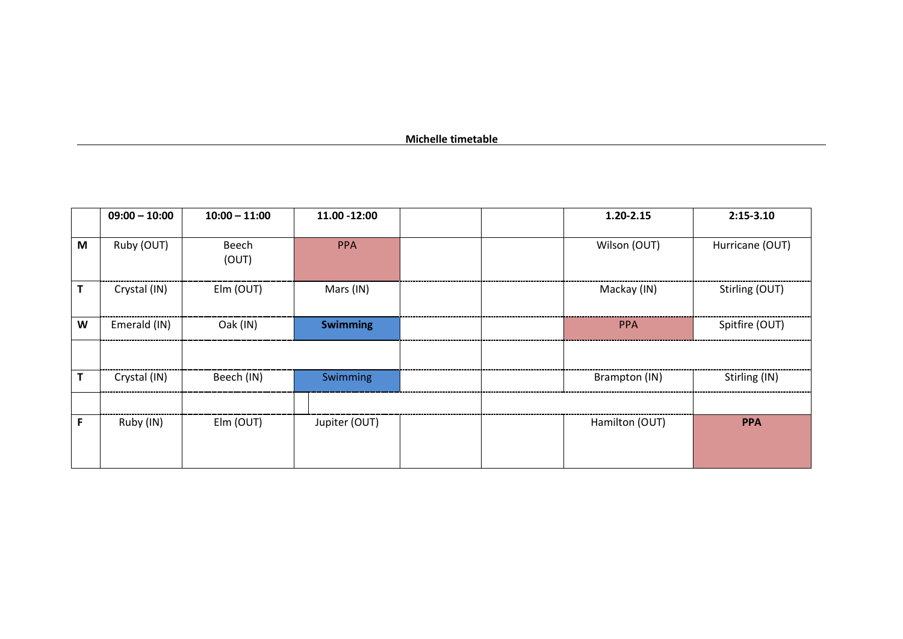## **Michelle timetable**

|   | $09:00 - 10:00$ | $10:00 - 11:00$ | 11.00 - 12:00   | 1.20-2.15      | $2:15-3.10$     |
|---|-----------------|-----------------|-----------------|----------------|-----------------|
| M | Ruby (OUT)      | Beech<br>(OUT)  | <b>PPA</b>      | Wilson (OUT)   | Hurricane (OUT) |
|   | Crystal (IN)    | Elm (OUT)       | Mars (IN)       | Mackay (IN)    | Stirling (OUT)  |
| W | Emerald (IN)    | Oak (IN)        | <b>Swimming</b> | <b>PPA</b>     | Spitfire (OUT)  |
|   |                 |                 |                 |                |                 |
|   | Crystal (IN)    | Beech (IN)      | <b>Swimming</b> | Brampton (IN)  | Stirling (IN)   |
|   |                 |                 |                 |                |                 |
| F | Ruby (IN)       | Elm (OUT)       | Jupiter (OUT)   | Hamilton (OUT) | <b>PPA</b>      |
|   |                 |                 |                 |                |                 |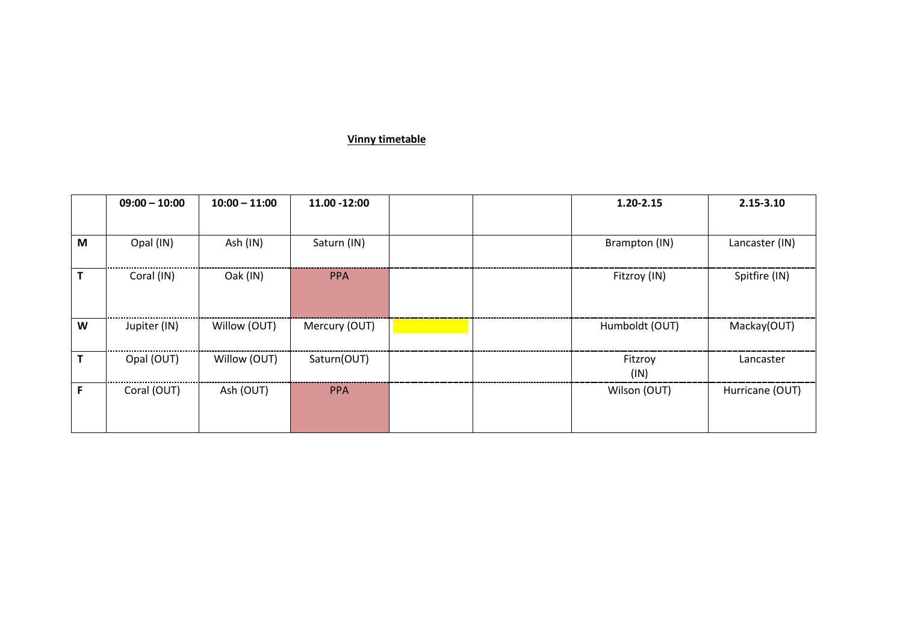## **Vinny timetable**

|   | $09:00 - 10:00$ | $10:00 - 11:00$ | 11.00 - 12:00 | 1.20-2.15       | 2.15-3.10       |
|---|-----------------|-----------------|---------------|-----------------|-----------------|
|   |                 |                 |               |                 |                 |
| M | Opal (IN)       | Ash (IN)        | Saturn (IN)   | Brampton (IN)   | Lancaster (IN)  |
|   | Coral (IN)      | Oak (IN)        | <b>PPA</b>    | Fitzroy (IN)    | Spitfire (IN)   |
| W | Jupiter (IN)    | Willow (OUT)    | Mercury (OUT) | Humboldt (OUT)  | Mackay(OUT)     |
|   | Opal (OUT)      | Willow (OUT)    | Saturn(OUT)   | Fitzroy<br>(IN) | Lancaster       |
|   | Coral (OUT)     | Ash (OUT)       | <b>PPA</b>    | Wilson (OUT)    | Hurricane (OUT) |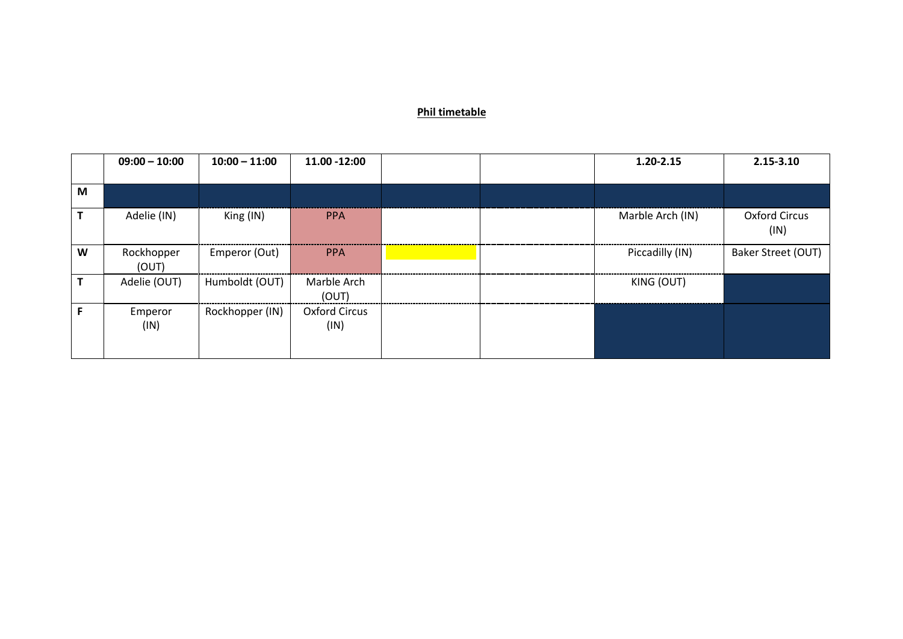## **Phil timetable**

|   | $09:00 - 10:00$     | $10:00 - 11:00$ | 11.00 - 12:00                |  | $1.20 - 2.15$    | 2.15-3.10                    |
|---|---------------------|-----------------|------------------------------|--|------------------|------------------------------|
|   |                     |                 |                              |  |                  |                              |
| M |                     |                 |                              |  |                  |                              |
|   | Adelie (IN)         | King (IN)       | <b>PPA</b>                   |  | Marble Arch (IN) | <b>Oxford Circus</b><br>(IN) |
| W | Rockhopper<br>(OUT) | Emperor (Out)   | <b>PPA</b>                   |  | Piccadilly (IN)  | Baker Street (OUT)           |
|   | Adelie (OUT)        | Humboldt (OUT)  | Marble Arch<br>(OUT)         |  | KING (OUT)       |                              |
| F | Emperor<br>(IN)     | Rockhopper (IN) | <b>Oxford Circus</b><br>(IN) |  |                  |                              |